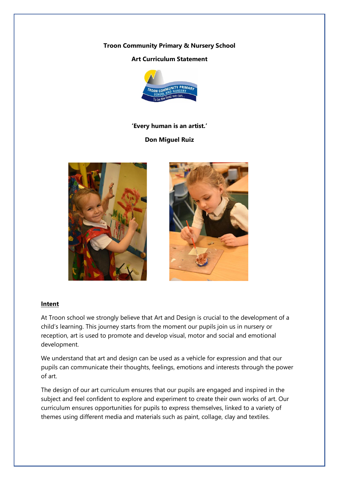### **Troon Community Primary & Nursery School**

# **Art Curriculum Statement**



### **'Every human is an artist.'**

# **Don Miguel Ruiz**





### **Intent**

At Troon school we strongly believe that Art and Design is crucial to the development of a child's learning. This journey starts from the moment our pupils join us in nursery or reception, art is used to promote and develop visual, motor and social and emotional development.

We understand that art and design can be used as a vehicle for expression and that our pupils can communicate their thoughts, feelings, emotions and interests through the power of art.

The design of our art curriculum ensures that our pupils are engaged and inspired in the subject and feel confident to explore and experiment to create their own works of art. Our curriculum ensures opportunities for pupils to express themselves, linked to a variety of themes using different media and materials such as paint, collage, clay and textiles.